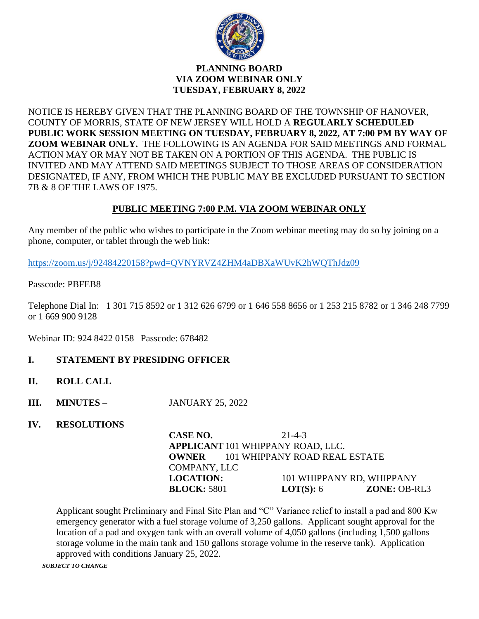

## **PLANNING BOARD VIA ZOOM WEBINAR ONLY TUESDAY, FEBRUARY 8, 2022**

NOTICE IS HEREBY GIVEN THAT THE PLANNING BOARD OF THE TOWNSHIP OF HANOVER, COUNTY OF MORRIS, STATE OF NEW JERSEY WILL HOLD A **REGULARLY SCHEDULED PUBLIC WORK SESSION MEETING ON TUESDAY, FEBRUARY 8, 2022, AT 7:00 PM BY WAY OF ZOOM WEBINAR ONLY.** THE FOLLOWING IS AN AGENDA FOR SAID MEETINGS AND FORMAL ACTION MAY OR MAY NOT BE TAKEN ON A PORTION OF THIS AGENDA. THE PUBLIC IS INVITED AND MAY ATTEND SAID MEETINGS SUBJECT TO THOSE AREAS OF CONSIDERATION DESIGNATED, IF ANY, FROM WHICH THE PUBLIC MAY BE EXCLUDED PURSUANT TO SECTION 7B & 8 OF THE LAWS OF 1975.

# **PUBLIC MEETING 7:00 P.M. VIA ZOOM WEBINAR ONLY**

Any member of the public who wishes to participate in the Zoom webinar meeting may do so by joining on a phone, computer, or tablet through the web link:

<https://zoom.us/j/92484220158?pwd=QVNYRVZ4ZHM4aDBXaWUvK2hWQThJdz09>

Passcode: PBFEB8

Telephone Dial In: 1 301 715 8592 or 1 312 626 6799 or 1 646 558 8656 or 1 253 215 8782 or 1 346 248 7799 or 1 669 900 9128

Webinar ID: 924 8422 0158 Passcode: 678482

- **I. STATEMENT BY PRESIDING OFFICER**
- **II. ROLL CALL**
- **III. MINUTES JANUARY 25, 2022**
- **IV. RESOLUTIONS**

**CASE NO.** 21-4-3 **APPLICANT** 101 WHIPPANY ROAD, LLC. **OWNER** 101 WHIPPANY ROAD REAL ESTATE COMPANY, LLC **LOCATION:** 101 WHIPPANY RD, WHIPPANY **BLOCK:** 5801 **LOT(S):** 6 **ZONE:** OB-RL3

Applicant sought Preliminary and Final Site Plan and "C" Variance relief to install a pad and 800 Kw emergency generator with a fuel storage volume of 3,250 gallons. Applicant sought approval for the location of a pad and oxygen tank with an overall volume of 4,050 gallons (including 1,500 gallons storage volume in the main tank and 150 gallons storage volume in the reserve tank). Application approved with conditions January 25, 2022.

*SUBJECT TO CHANGE*